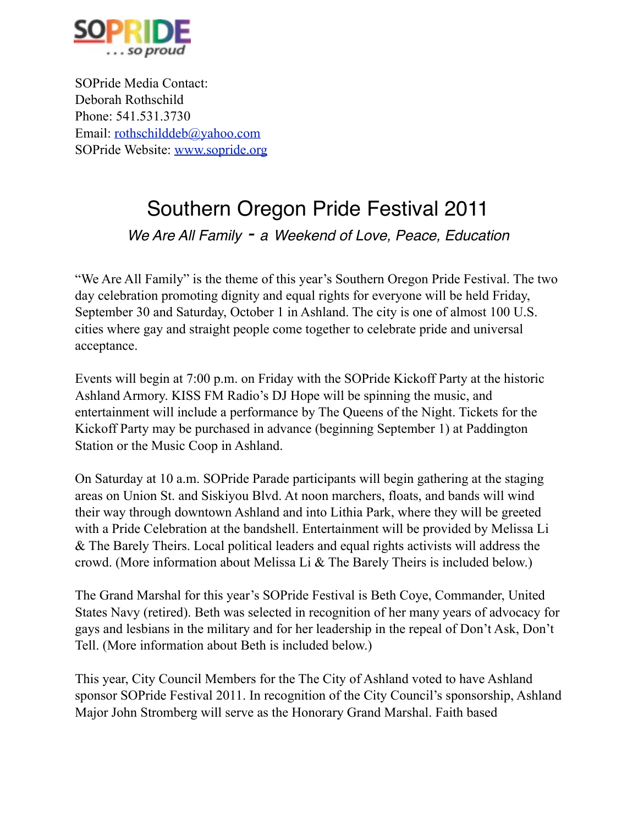

SOPride Media Contact: Deborah Rothschild Phone: 541.531.3730 Email: [rothschilddeb@yahoo.com](mailto:rothschilddeb@yahoo.com) SOPride Website: [www.sopride.org](http://www.sopride.org)

## Southern Oregon Pride Festival 2011

*We Are All Family - a Weekend of Love, Peace, Education*

"We Are All Family" is the theme of this year's Southern Oregon Pride Festival. The two day celebration promoting dignity and equal rights for everyone will be held Friday, September 30 and Saturday, October 1 in Ashland. The city is one of almost 100 U.S. cities where gay and straight people come together to celebrate pride and universal acceptance.

Events will begin at 7:00 p.m. on Friday with the SOPride Kickoff Party at the historic Ashland Armory. KISS FM Radio's DJ Hope will be spinning the music, and entertainment will include a performance by The Queens of the Night. Tickets for the Kickoff Party may be purchased in advance (beginning September 1) at Paddington Station or the Music Coop in Ashland.

On Saturday at 10 a.m. SOPride Parade participants will begin gathering at the staging areas on Union St. and Siskiyou Blvd. At noon marchers, floats, and bands will wind their way through downtown Ashland and into Lithia Park, where they will be greeted with a Pride Celebration at the bandshell. Entertainment will be provided by Melissa Li & The Barely Theirs. Local political leaders and equal rights activists will address the crowd. (More information about Melissa Li & The Barely Theirs is included below.)

The Grand Marshal for this year's SOPride Festival is Beth Coye, Commander, United States Navy (retired). Beth was selected in recognition of her many years of advocacy for gays and lesbians in the military and for her leadership in the repeal of Don't Ask, Don't Tell. (More information about Beth is included below.)

This year, City Council Members for the The City of Ashland voted to have Ashland sponsor SOPride Festival 2011. In recognition of the City Council's sponsorship, Ashland Major John Stromberg will serve as the Honorary Grand Marshal. Faith based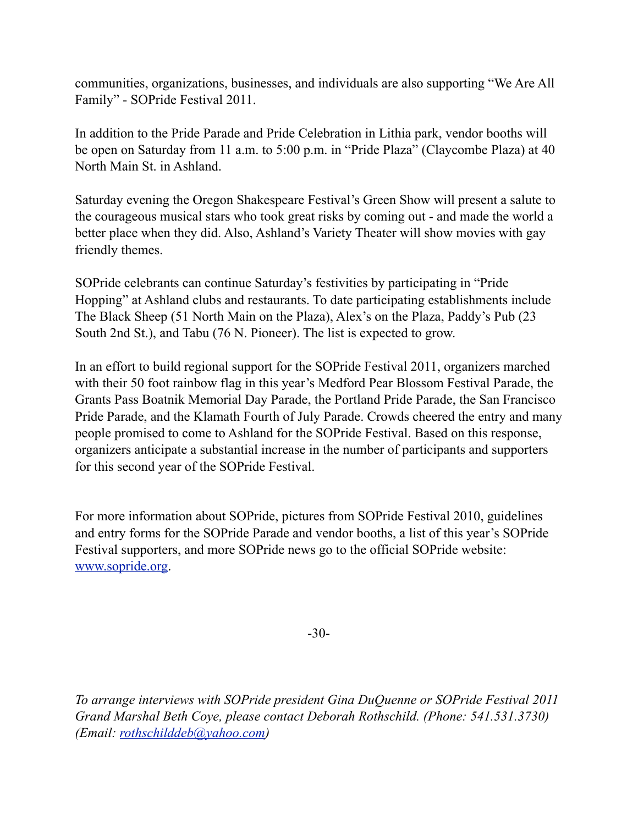communities, organizations, businesses, and individuals are also supporting "We Are All Family" - SOPride Festival 2011.

In addition to the Pride Parade and Pride Celebration in Lithia park, vendor booths will be open on Saturday from 11 a.m. to 5:00 p.m. in "Pride Plaza" (Claycombe Plaza) at 40 North Main St. in Ashland.

Saturday evening the Oregon Shakespeare Festival's Green Show will present a salute to the courageous musical stars who took great risks by coming out - and made the world a better place when they did. Also, Ashland's Variety Theater will show movies with gay friendly themes.

SOPride celebrants can continue Saturday's festivities by participating in "Pride Hopping" at Ashland clubs and restaurants. To date participating establishments include The Black Sheep (51 North Main on the Plaza), Alex's on the Plaza, Paddy's Pub (23 South 2nd St.), and Tabu (76 N. Pioneer). The list is expected to grow.

In an effort to build regional support for the SOPride Festival 2011, organizers marched with their 50 foot rainbow flag in this year's Medford Pear Blossom Festival Parade, the Grants Pass Boatnik Memorial Day Parade, the Portland Pride Parade, the San Francisco Pride Parade, and the Klamath Fourth of July Parade. Crowds cheered the entry and many people promised to come to Ashland for the SOPride Festival. Based on this response, organizers anticipate a substantial increase in the number of participants and supporters for this second year of the SOPride Festival.

For more information about SOPride, pictures from SOPride Festival 2010, guidelines and entry forms for the SOPride Parade and vendor booths, a list of this year's SOPride Festival supporters, and more SOPride news go to the official SOPride website: [www.sopride.org](http://www.sopride.org).

-30-

*To arrange interviews with SOPride president Gina DuQuenne or SOPride Festival 2011 Grand Marshal Beth Coye, please contact Deborah Rothschild. (Phone: 541.531.3730) (Email: [rothschilddeb@yahoo.com\)](mailto:rothschilddeb@yahoo.com)*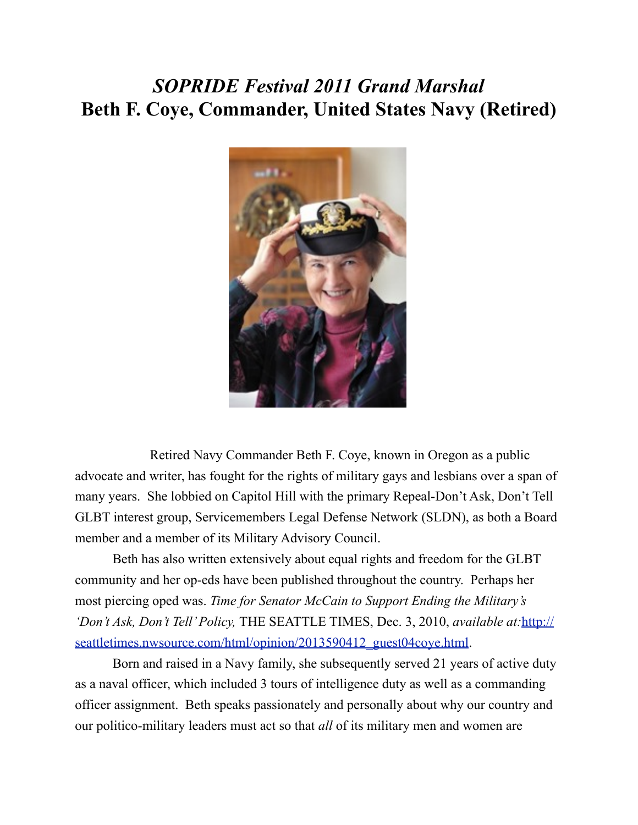### *SOPRIDE Festival 2011 Grand Marshal*  **Beth F. Coye, Commander, United States Navy (Retired)**



 Retired Navy Commander Beth F. Coye, known in Oregon as a public advocate and writer, has fought for the rights of military gays and lesbians over a span of many years. She lobbied on Capitol Hill with the primary Repeal-Don't Ask, Don't Tell GLBT interest group, Servicemembers Legal Defense Network (SLDN), as both a Board member and a member of its Military Advisory Council.

 Beth has also written extensively about equal rights and freedom for the GLBT community and her op-eds have been published throughout the country. Perhaps her most piercing oped was. *Time for Senator McCain to Support Ending the Military's 'Don't Ask, Don't Tell' Policy,* THE SEATTLE TIMES, Dec. 3, 2010, *available at:*[http://](http://seattletimes.nwsource.com/html/opinion/2013590412_guest04coye.html) seattletimes.nwsource.com/html/opinion/2013590412\_guest04cove.html.

 Born and raised in a Navy family, she subsequently served 21 years of active duty as a naval officer, which included 3 tours of intelligence duty as well as a commanding officer assignment. Beth speaks passionately and personally about why our country and our politico-military leaders must act so that *all* of its military men and women are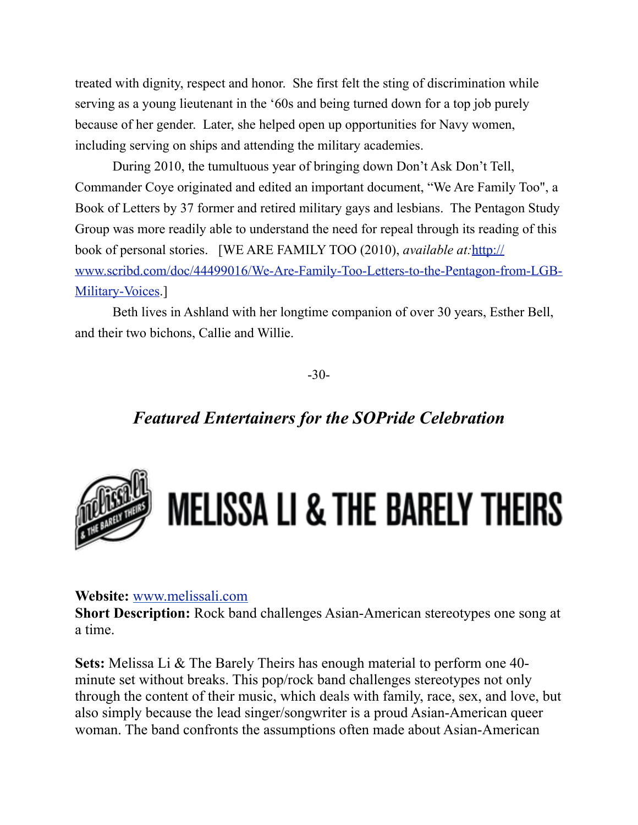treated with dignity, respect and honor. She first felt the sting of discrimination while serving as a young lieutenant in the '60s and being turned down for a top job purely because of her gender. Later, she helped open up opportunities for Navy women, including serving on ships and attending the military academies.

 During 2010, the tumultuous year of bringing down Don't Ask Don't Tell, Commander Coye originated and edited an important document, "We Are Family Too", a Book of Letters by 37 former and retired military gays and lesbians. The Pentagon Study Group was more readily able to understand the need for repeal through its reading of this book of personal stories. [WE ARE FAMILY TOO (2010), *available at:*[http://](http://www.scribd.com/doc/44499016/We-Are-Family-Too-Letters-to-the-Pentagon-from-LGB-Military-Voices) [www.scribd.com/doc/44499016/We-Are-Family-Too-Letters-to-the-Pentagon-from-LGB-](http://www.scribd.com/doc/44499016/We-Are-Family-Too-Letters-to-the-Pentagon-from-LGB-Military-Voices)[Military-Voices](http://www.scribd.com/doc/44499016/We-Are-Family-Too-Letters-to-the-Pentagon-from-LGB-Military-Voices).

 Beth lives in Ashland with her longtime companion of over 30 years, Esther Bell, and their two bichons, Callie and Willie.

-30-

#### *Featured Entertainers for the SOPride Celebration*



# **MELISSA LI & THE BARELY THEIRS**

#### **Website:** [www.melissali.com](http://www.melissali.com/)

**Short Description:** Rock band challenges Asian-American stereotypes one song at a time.

**Sets:** Melissa Li & The Barely Theirs has enough material to perform one 40 minute set without breaks. This pop/rock band challenges stereotypes not only through the content of their music, which deals with family, race, sex, and love, but also simply because the lead singer/songwriter is a proud Asian-American queer woman. The band confronts the assumptions often made about Asian-American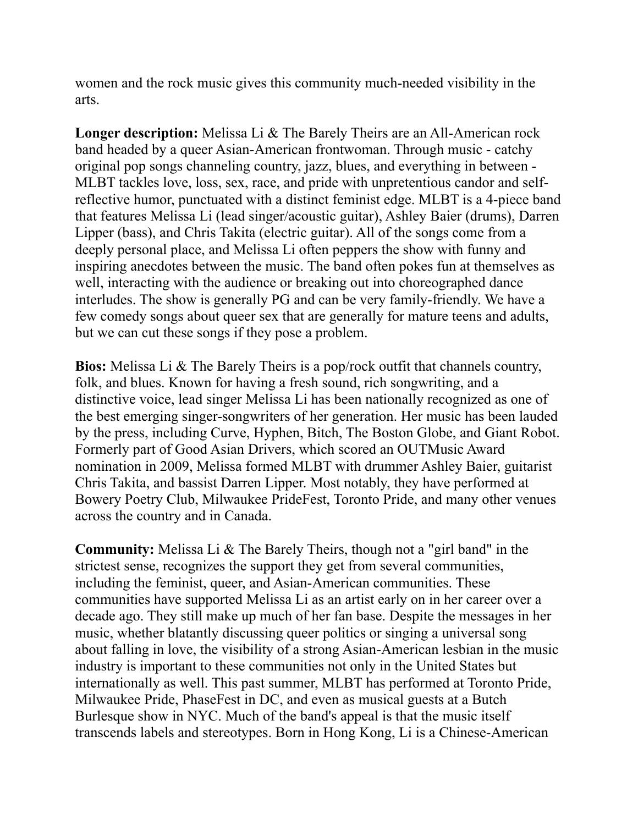women and the rock music gives this community much-needed visibility in the arts.

**Longer description:** Melissa Li & The Barely Theirs are an All-American rock band headed by a queer Asian-American frontwoman. Through music - catchy original pop songs channeling country, jazz, blues, and everything in between - MLBT tackles love, loss, sex, race, and pride with unpretentious candor and selfreflective humor, punctuated with a distinct feminist edge. MLBT is a 4-piece band that features Melissa Li (lead singer/acoustic guitar), Ashley Baier (drums), Darren Lipper (bass), and Chris Takita (electric guitar). All of the songs come from a deeply personal place, and Melissa Li often peppers the show with funny and inspiring anecdotes between the music. The band often pokes fun at themselves as well, interacting with the audience or breaking out into choreographed dance interludes. The show is generally PG and can be very family-friendly. We have a few comedy songs about queer sex that are generally for mature teens and adults, but we can cut these songs if they pose a problem.

**Bios:** Melissa Li & The Barely Theirs is a pop/rock outfit that channels country, folk, and blues. Known for having a fresh sound, rich songwriting, and a distinctive voice, lead singer Melissa Li has been nationally recognized as one of the best emerging singer-songwriters of her generation. Her music has been lauded by the press, including Curve, Hyphen, Bitch, The Boston Globe, and Giant Robot. Formerly part of Good Asian Drivers, which scored an OUTMusic Award nomination in 2009, Melissa formed MLBT with drummer Ashley Baier, guitarist Chris Takita, and bassist Darren Lipper. Most notably, they have performed at Bowery Poetry Club, Milwaukee PrideFest, Toronto Pride, and many other venues across the country and in Canada.

**Community:** Melissa Li & The Barely Theirs, though not a "girl band" in the strictest sense, recognizes the support they get from several communities, including the feminist, queer, and Asian-American communities. These communities have supported Melissa Li as an artist early on in her career over a decade ago. They still make up much of her fan base. Despite the messages in her music, whether blatantly discussing queer politics or singing a universal song about falling in love, the visibility of a strong Asian-American lesbian in the music industry is important to these communities not only in the United States but internationally as well. This past summer, MLBT has performed at Toronto Pride, Milwaukee Pride, PhaseFest in DC, and even as musical guests at a Butch Burlesque show in NYC. Much of the band's appeal is that the music itself transcends labels and stereotypes. Born in Hong Kong, Li is a Chinese-American